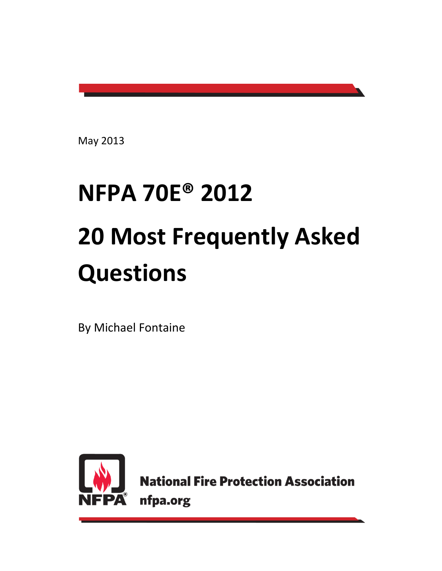May 2013

# **NFPA 70E® 2012 20 Most Frequently Asked Questions**

By Michael Fontaine



**National Fire Protection Association** nfpa.org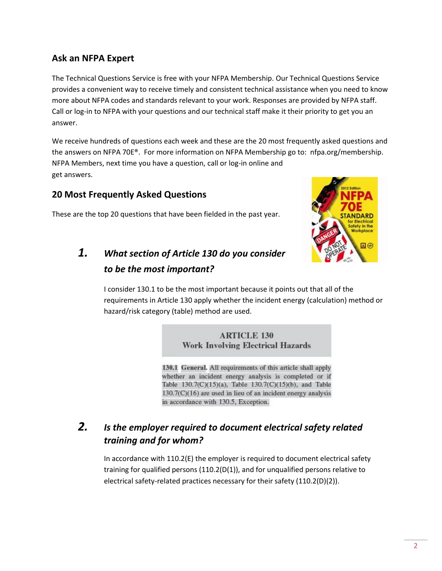#### **Ask an NFPA Expert**

The Technical Questions Service is free with your NFPA Membership. Our Technical Questions Service provides a convenient way to receive timely and consistent technical assistance when you need to know more about NFPA codes and standards relevant to your work. Responses are provided by NFPA staff. Call or log-in to NFPA with your questions and our technical staff make it their priority to get you an answer.

We receive hundreds of questions each week and these are the 20 most frequently asked questions and the answers on NFPA 70E®. For more information on NFPA Membership go to: nfpa.org/membership. NFPA Members, next time you have a question, call or log-in online and get answers.

#### **20 Most Frequently Asked Questions**

These are the top 20 questions that have been fielded in the past year.



## *1. What section of Article 130 do you consider to be the most important?*

I consider 130.1 to be the most important because it points out that all of the requirements in Article 130 apply whether the incident energy (calculation) method or hazard/risk category (table) method are used.

> **ARTICLE 130 Work Involving Electrical Hazards**

130.1 General. All requirements of this article shall apply whether an incident energy analysis is completed or if Table 130.7(C)(15)(a), Table 130.7(C)(15)(b), and Table  $130.7(C)(16)$  are used in lieu of an incident energy analysis in accordance with 130.5, Exception.

## *2. Is the employer required to document electrical safety related training and for whom?*

In accordance with 110.2(E) the employer is required to document electrical safety training for qualified persons (110.2(D(1)), and for unqualified persons relative to electrical safety-related practices necessary for their safety (110.2(D)(2)).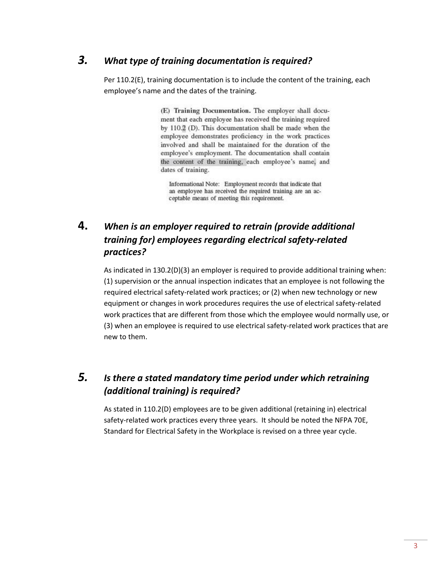#### *3. What type of training documentation is required?*

Per 110.2(E), training documentation is to include the content of the training, each employee's name and the dates of the training.

> (E) Training Documentation. The employer shall document that each employee has received the training required by 110.2 (D). This documentation shall be made when the employee demonstrates proficiency in the work practices involved and shall be maintained for the duration of the employee's employment. The documentation shall contain the content of the training, each employee's name, and dates of training.

Informational Note: Employment records that indicate that an employee has received the required training are an acceptable means of meeting this requirement.

#### **4.** *When is an employer required to retrain (provide additional training for) employees regarding electrical safety-related practices?*

As indicated in 130.2(D)(3) an employer is required to provide additional training when: (1) supervision or the annual inspection indicates that an employee is not following the required electrical safety-related work practices; or (2) when new technology or new equipment or changes in work procedures requires the use of electrical safety-related work practices that are different from those which the employee would normally use, or (3) when an employee is required to use electrical safety-related work practices that are new to them.

#### *5. Is there a stated mandatory time period under which retraining (additional training) is required?*

As stated in 110.2(D) employees are to be given additional (retaining in) electrical safety-related work practices every three years. It should be noted the NFPA 70E, Standard for Electrical Safety in the Workplace is revised on a three year cycle.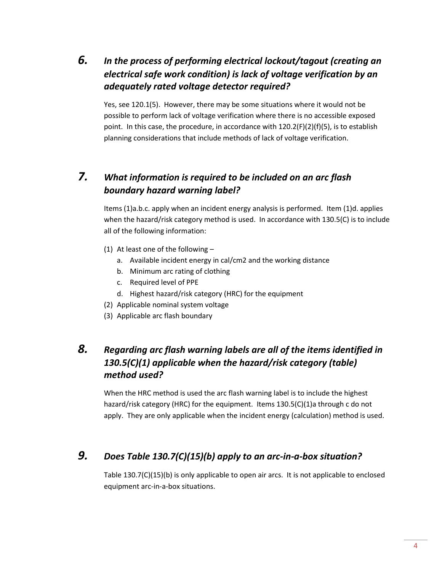## *6. In the process of performing electrical lockout/tagout (creating an electrical safe work condition) is lack of voltage verification by an adequately rated voltage detector required?*

Yes, see 120.1(5). However, there may be some situations where it would not be possible to perform lack of voltage verification where there is no accessible exposed point. In this case, the procedure, in accordance with 120.2(F)(2)(f)(5), is to establish planning considerations that include methods of lack of voltage verification.

#### *7. What information is required to be included on an arc flash boundary hazard warning label?*

Items (1)a.b.c. apply when an incident energy analysis is performed. Item (1)d. applies when the hazard/risk category method is used. In accordance with 130.5(C) is to include all of the following information:

- (1) At least one of the following
	- a. Available incident energy in cal/cm2 and the working distance
	- b. Minimum arc rating of clothing
	- c. Required level of PPE
	- d. Highest hazard/risk category (HRC) for the equipment
- (2) Applicable nominal system voltage
- (3) Applicable arc flash boundary

### *8. Regarding arc flash warning labels are all of the items identified in 130.5(C)(1) applicable when the hazard/risk category (table) method used?*

When the HRC method is used the arc flash warning label is to include the highest hazard/risk category (HRC) for the equipment. Items 130.5(C)(1)a through c do not apply. They are only applicable when the incident energy (calculation) method is used.

#### *9. Does Table 130.7(C)(15)(b) apply to an arc-in-a-box situation?*

Table 130.7(C)(15)(b) is only applicable to open air arcs. It is not applicable to enclosed equipment arc-in-a-box situations.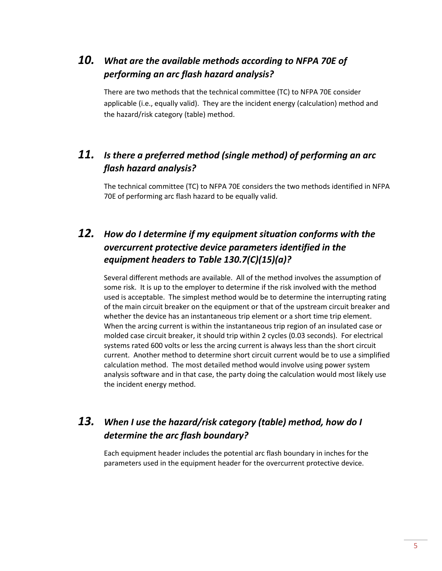## *10. What are the available methods according to NFPA 70E of performing an arc flash hazard analysis?*

There are two methods that the technical committee (TC) to NFPA 70E consider applicable (i.e., equally valid). They are the incident energy (calculation) method and the hazard/risk category (table) method.

## *11. Is there a preferred method (single method) of performing an arc flash hazard analysis?*

The technical committee (TC) to NFPA 70E considers the two methods identified in NFPA 70E of performing arc flash hazard to be equally valid.

#### *12. How do I determine if my equipment situation conforms with the overcurrent protective device parameters identified in the equipment headers to Table 130.7(C)(15)(a)?*

Several different methods are available. All of the method involves the assumption of some risk. It is up to the employer to determine if the risk involved with the method used is acceptable. The simplest method would be to determine the interrupting rating of the main circuit breaker on the equipment or that of the upstream circuit breaker and whether the device has an instantaneous trip element or a short time trip element. When the arcing current is within the instantaneous trip region of an insulated case or molded case circuit breaker, it should trip within 2 cycles (0.03 seconds). For electrical systems rated 600 volts or less the arcing current is always less than the short circuit current. Another method to determine short circuit current would be to use a simplified calculation method. The most detailed method would involve using power system analysis software and in that case, the party doing the calculation would most likely use the incident energy method.

#### *13. When I use the hazard/risk category (table) method, how do I determine the arc flash boundary?*

Each equipment header includes the potential arc flash boundary in inches for the parameters used in the equipment header for the overcurrent protective device.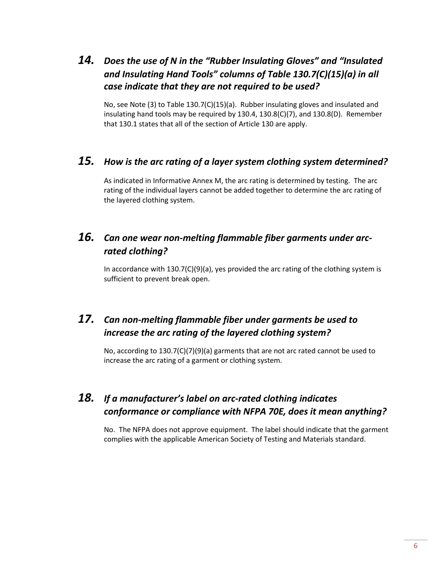## *14. Does the use of N in the "Rubber Insulating Gloves" and "Insulated and Insulating Hand Tools" columns of Table 130.7(C)(15)(a) in all case indicate that they are not required to be used?*

No, see Note (3) to Table 130.7(C)(15)(a). Rubber insulating gloves and insulated and insulating hand tools may be required by 130.4, 130.8(C)(7), and 130.8(D). Remember that 130.1 states that all of the section of Article 130 are apply.

#### *15. How is the arc rating of a layer system clothing system determined?*

As indicated in Informative Annex M, the arc rating is determined by testing. The arc rating of the individual layers cannot be added together to determine the arc rating of the layered clothing system.

#### *16. Can one wear non-melting flammable fiber garments under arcrated clothing?*

In accordance with  $130.7(C)(9)(a)$ , yes provided the arc rating of the clothing system is sufficient to prevent break open.

#### *17. Can non-melting flammable fiber under garments be used to increase the arc rating of the layered clothing system?*

No, according to 130.7(C)(7)(9)(a) garments that are not arc rated cannot be used to increase the arc rating of a garment or clothing system.

## *18. If a manufacturer's label on arc-rated clothing indicates conformance or compliance with NFPA 70E, does it mean anything?*

No. The NFPA does not approve equipment. The label should indicate that the garment complies with the applicable American Society of Testing and Materials standard.